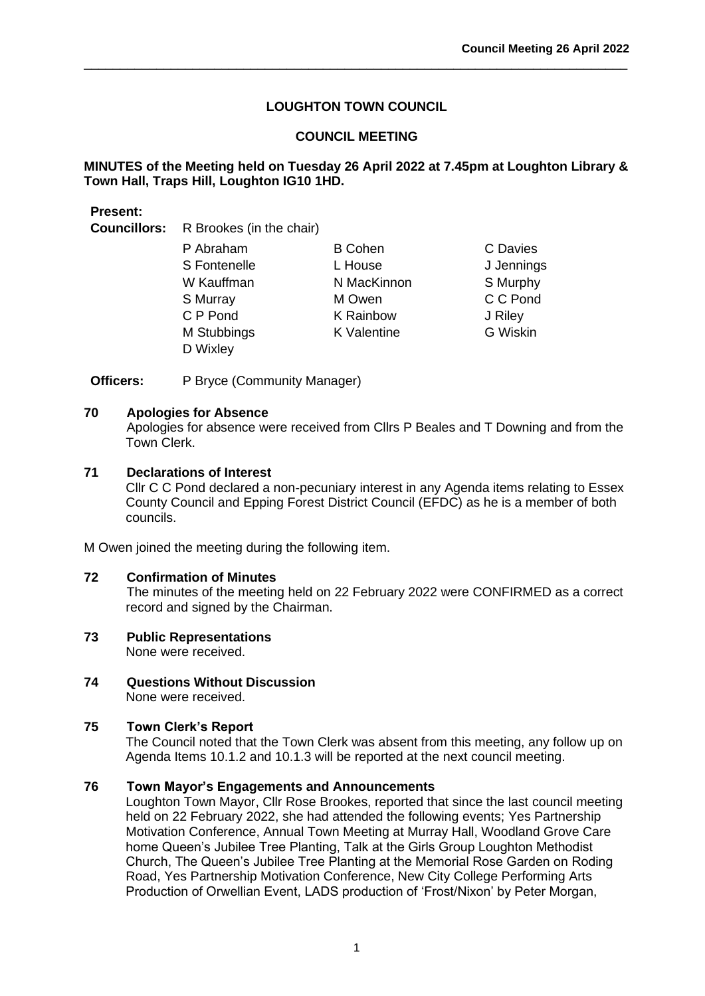# **LOUGHTON TOWN COUNCIL**

\_\_\_\_\_\_\_\_\_\_\_\_\_\_\_\_\_\_\_\_\_\_\_\_\_\_\_\_\_\_\_\_\_\_\_\_\_\_\_\_\_\_\_\_\_\_\_\_\_\_\_\_\_\_\_\_\_\_\_\_\_\_\_\_\_\_\_\_\_\_\_\_\_\_\_

# **COUNCIL MEETING**

# **MINUTES of the Meeting held on Tuesday 26 April 2022 at 7.45pm at Loughton Library & Town Hall, Traps Hill, Loughton IG10 1HD.**

## **Present:**

**Councillors:** R Brookes (in the chair)

| P Abraham    | <b>B</b> Cohen     | C Davies        |
|--------------|--------------------|-----------------|
| S Fontenelle | L House            | J Jennings      |
| W Kauffman   | N MacKinnon        | S Murphy        |
| S Murray     | M Owen             | C C Pond        |
| C P Pond     | <b>K</b> Rainbow   | J Riley         |
| M Stubbings  | <b>K</b> Valentine | <b>G</b> Wiskin |
| D Wixley     |                    |                 |

**Officers:** P Bryce (Community Manager)

#### **70 Apologies for Absence**

Apologies for absence were received from Cllrs P Beales and T Downing and from the Town Clerk.

#### **71 Declarations of Interest**

Cllr C C Pond declared a non-pecuniary interest in any Agenda items relating to Essex County Council and Epping Forest District Council (EFDC) as he is a member of both councils.

M Owen joined the meeting during the following item.

#### **72 Confirmation of Minutes**

The minutes of the meeting held on 22 February 2022 were CONFIRMED as a correct record and signed by the Chairman.

#### **73 Public Representations** None were received.

**74 Questions Without Discussion**  None were received.

# **75 Town Clerk's Report**

The Council noted that the Town Clerk was absent from this meeting, any follow up on Agenda Items 10.1.2 and 10.1.3 will be reported at the next council meeting.

# **76 Town Mayor's Engagements and Announcements**

Loughton Town Mayor, Cllr Rose Brookes, reported that since the last council meeting held on 22 February 2022, she had attended the following events; Yes Partnership Motivation Conference, Annual Town Meeting at Murray Hall, Woodland Grove Care home Queen's Jubilee Tree Planting, Talk at the Girls Group Loughton Methodist Church, The Queen's Jubilee Tree Planting at the Memorial Rose Garden on Roding Road, Yes Partnership Motivation Conference, New City College Performing Arts Production of Orwellian Event, LADS production of 'Frost/Nixon' by Peter Morgan,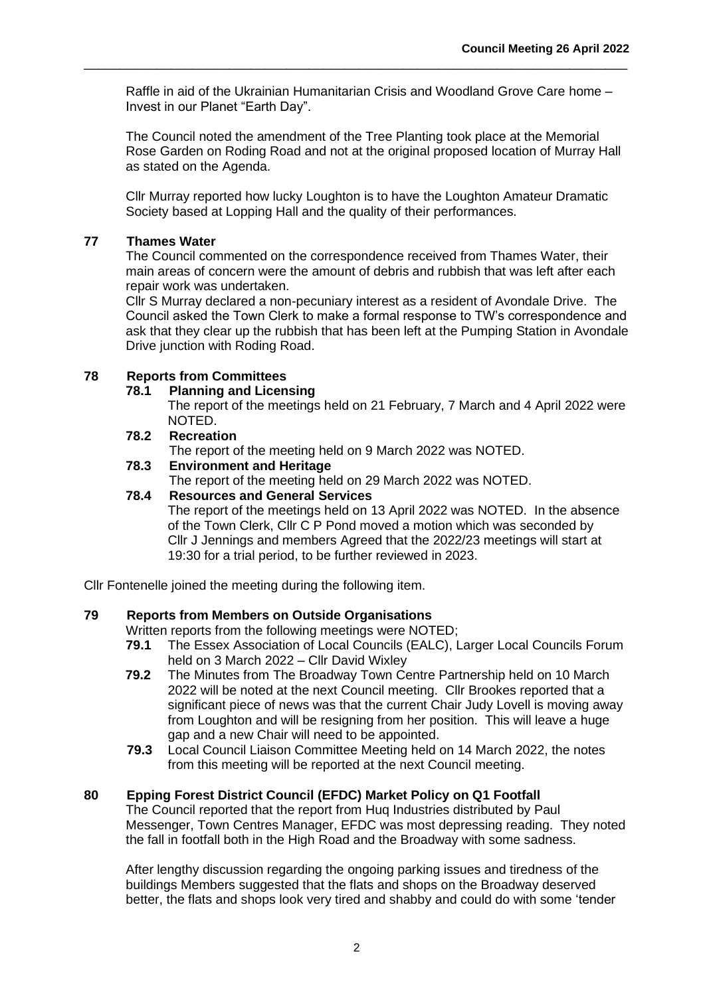Raffle in aid of the Ukrainian Humanitarian Crisis and Woodland Grove Care home – Invest in our Planet "Earth Day".

\_\_\_\_\_\_\_\_\_\_\_\_\_\_\_\_\_\_\_\_\_\_\_\_\_\_\_\_\_\_\_\_\_\_\_\_\_\_\_\_\_\_\_\_\_\_\_\_\_\_\_\_\_\_\_\_\_\_\_\_\_\_\_\_\_\_\_\_\_\_\_\_\_\_\_

The Council noted the amendment of the Tree Planting took place at the Memorial Rose Garden on Roding Road and not at the original proposed location of Murray Hall as stated on the Agenda.

Cllr Murray reported how lucky Loughton is to have the Loughton Amateur Dramatic Society based at Lopping Hall and the quality of their performances.

## **77 Thames Water**

The Council commented on the correspondence received from Thames Water, their main areas of concern were the amount of debris and rubbish that was left after each repair work was undertaken.

Cllr S Murray declared a non-pecuniary interest as a resident of Avondale Drive. The Council asked the Town Clerk to make a formal response to TW's correspondence and ask that they clear up the rubbish that has been left at the Pumping Station in Avondale Drive junction with Roding Road.

# **78 Reports from Committees**

#### **78.1 Planning and Licensing**

The report of the meetings held on 21 February, 7 March and 4 April 2022 were NOTED.

# **78.2 Recreation**

The report of the meeting held on 9 March 2022 was NOTED.

# **78.3 Environment and Heritage**

The report of the meeting held on 29 March 2022 was NOTED.

## **78.4 Resources and General Services**

The report of the meetings held on 13 April 2022 was NOTED. In the absence of the Town Clerk, Cllr C P Pond moved a motion which was seconded by Cllr J Jennings and members Agreed that the 2022/23 meetings will start at 19:30 for a trial period, to be further reviewed in 2023.

Cllr Fontenelle joined the meeting during the following item.

# **79 Reports from Members on Outside Organisations**

Written reports from the following meetings were NOTED:

- **79.1** The Essex Association of Local Councils (EALC), Larger Local Councils Forum held on 3 March 2022 – Cllr David Wixley
- **79.2** The Minutes from The Broadway Town Centre Partnership held on 10 March 2022 will be noted at the next Council meeting. Cllr Brookes reported that a significant piece of news was that the current Chair Judy Lovell is moving away from Loughton and will be resigning from her position. This will leave a huge gap and a new Chair will need to be appointed.
- **79.3** Local Council Liaison Committee Meeting held on 14 March 2022, the notes from this meeting will be reported at the next Council meeting.

# **80 Epping Forest District Council (EFDC) Market Policy on Q1 Footfall**

The Council reported that the report from Huq Industries distributed by Paul Messenger, Town Centres Manager, EFDC was most depressing reading. They noted the fall in footfall both in the High Road and the Broadway with some sadness.

After lengthy discussion regarding the ongoing parking issues and tiredness of the buildings Members suggested that the flats and shops on the Broadway deserved better, the flats and shops look very tired and shabby and could do with some 'tender